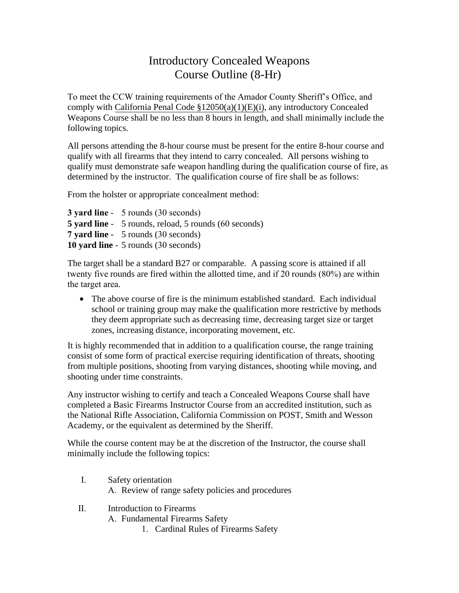## Introductory Concealed Weapons Course Outline (8-Hr)

To meet the CCW training requirements of the Amador County Sheriff's Office, and comply with California Penal Code §12050(a)(1)(E)(i), any introductory Concealed Weapons Course shall be no less than 8 hours in length, and shall minimally include the following topics.

All persons attending the 8-hour course must be present for the entire 8-hour course and qualify with all firearms that they intend to carry concealed. All persons wishing to qualify must demonstrate safe weapon handling during the qualification course of fire, as determined by the instructor. The qualification course of fire shall be as follows:

From the holster or appropriate concealment method:

**3 yard line** - 5 rounds (30 seconds) **5 yard line** - 5 rounds, reload, 5 rounds (60 seconds) **7 yard line** - 5 rounds (30 seconds) **10 yard line** - 5 rounds (30 seconds)

The target shall be a standard B27 or comparable. A passing score is attained if all twenty five rounds are fired within the allotted time, and if 20 rounds (80%) are within the target area.

• The above course of fire is the minimum established standard. Each individual school or training group may make the qualification more restrictive by methods they deem appropriate such as decreasing time, decreasing target size or target zones, increasing distance, incorporating movement, etc.

It is highly recommended that in addition to a qualification course, the range training consist of some form of practical exercise requiring identification of threats, shooting from multiple positions, shooting from varying distances, shooting while moving, and shooting under time constraints.

Any instructor wishing to certify and teach a Concealed Weapons Course shall have completed a Basic Firearms Instructor Course from an accredited institution, such as the National Rifle Association, California Commission on POST, Smith and Wesson Academy, or the equivalent as determined by the Sheriff.

While the course content may be at the discretion of the Instructor, the course shall minimally include the following topics:

- I. Safety orientation A. Review of range safety policies and procedures
- II. Introduction to Firearms A. Fundamental Firearms Safety
	- 1. Cardinal Rules of Firearms Safety